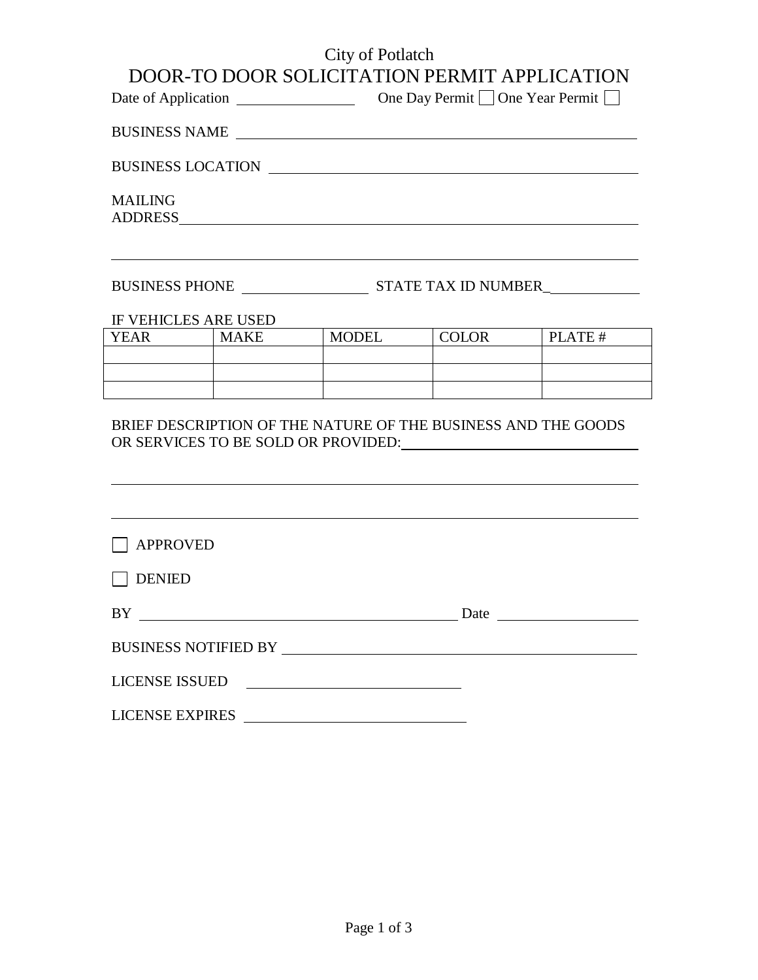## City of Potlatch

|                        |                      |                                                                                                                                                                                                                                       |              | DOOR-TO DOOR SOLICITATION PERMIT APPLICATION |
|------------------------|----------------------|---------------------------------------------------------------------------------------------------------------------------------------------------------------------------------------------------------------------------------------|--------------|----------------------------------------------|
|                        |                      |                                                                                                                                                                                                                                       |              |                                              |
|                        |                      | BUSINESS NAME                                                                                                                                                                                                                         |              |                                              |
|                        |                      | BUSINESS LOCATION                                                                                                                                                                                                                     |              |                                              |
| <b>MAILING</b>         |                      |                                                                                                                                                                                                                                       |              |                                              |
|                        |                      | <u> 1989 - Johann Stoff, amerikansk politiker (* 1908)</u>                                                                                                                                                                            |              |                                              |
|                        | IF VEHICLES ARE USED |                                                                                                                                                                                                                                       |              |                                              |
|                        | YEAR MAKE            | <b>MODEL</b>                                                                                                                                                                                                                          | <b>COLOR</b> | PLATE #                                      |
|                        |                      |                                                                                                                                                                                                                                       |              |                                              |
|                        |                      |                                                                                                                                                                                                                                       |              |                                              |
|                        |                      | BRIEF DESCRIPTION OF THE NATURE OF THE BUSINESS AND THE GOODS<br>,我们也不能在这里的时候,我们也不能在这里的时候,我们也不能会在这里的时候,我们也不能会在这里的时候,我们也不能会在这里的时候,我们也不能会在这里的时候,我们也<br>,我们也不会有什么。""我们的人,我们也不会有什么?""我们的人,我们也不会有什么?""我们的人,我们也不会有什么?""我们的人,我们也不会有什么?""我们的人 |              |                                              |
| <b>APPROVED</b>        |                      |                                                                                                                                                                                                                                       |              |                                              |
| <b>DENIED</b>          |                      |                                                                                                                                                                                                                                       |              |                                              |
| BY                     |                      |                                                                                                                                                                                                                                       | Date         |                                              |
|                        |                      | BUSINESS NOTIFIED BY                                                                                                                                                                                                                  |              |                                              |
| <b>LICENSE ISSUED</b>  |                      | <u> Alexandria de la contrada de la contrada de la contrada de la contrada de la contrada de la contrada de la c</u>                                                                                                                  |              |                                              |
| <b>LICENSE EXPIRES</b> |                      | <u> 1989 - Johann Barn, mars eta biztanleria (</u>                                                                                                                                                                                    |              |                                              |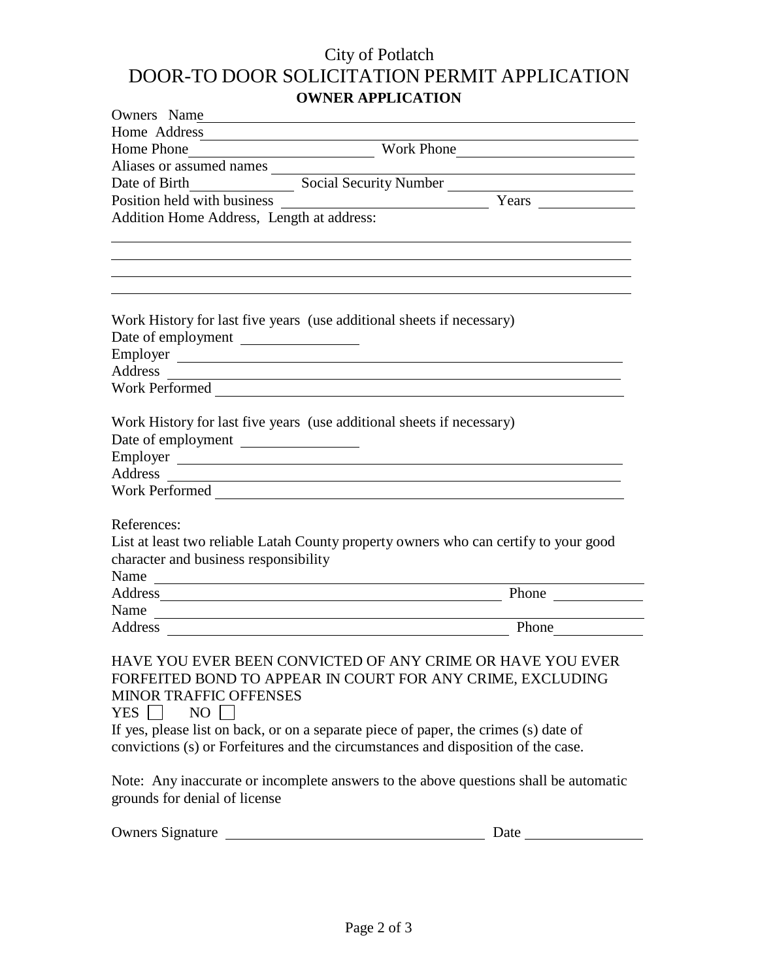## City of Potlatch DOOR-TO DOOR SOLICITATION PERMIT APPLICATION **OWNER APPLICATION**

| <u> 1989 - Johann John Stein, markin fan it ferstjer fan de ferstjer fan it ferstjer fan it ferstjer fan it fers</u><br>Home Address<br>Aliases or assumed names<br>Social Security Number<br>Date of Birth<br>Addition Home Address, Length at address:                                                                                                                                                                                                                             |       |
|--------------------------------------------------------------------------------------------------------------------------------------------------------------------------------------------------------------------------------------------------------------------------------------------------------------------------------------------------------------------------------------------------------------------------------------------------------------------------------------|-------|
|                                                                                                                                                                                                                                                                                                                                                                                                                                                                                      |       |
|                                                                                                                                                                                                                                                                                                                                                                                                                                                                                      |       |
|                                                                                                                                                                                                                                                                                                                                                                                                                                                                                      |       |
|                                                                                                                                                                                                                                                                                                                                                                                                                                                                                      |       |
|                                                                                                                                                                                                                                                                                                                                                                                                                                                                                      |       |
|                                                                                                                                                                                                                                                                                                                                                                                                                                                                                      |       |
|                                                                                                                                                                                                                                                                                                                                                                                                                                                                                      |       |
| Work History for last five years (use additional sheets if necessary)<br>Date of employment<br>Employer<br>Work Performed                                                                                                                                                                                                                                                                                                                                                            |       |
| Work History for last five years (use additional sheets if necessary)<br>Date of employment<br>Employer<br>Address experiences and the contract of the contract of the contract of the contract of the contract of the contract of the contract of the contract of the contract of the contract of the contract of the contract of the co<br>Work Performed                                                                                                                          |       |
| References:<br>List at least two reliable Latah County property owners who can certify to your good<br>character and business responsibility<br>Name                                                                                                                                                                                                                                                                                                                                 |       |
| Address and the contract of the contract of the contract of the contract of the contract of the contract of the contract of the contract of the contract of the contract of the contract of the contract of the contract of th                                                                                                                                                                                                                                                       | Phone |
| Name                                                                                                                                                                                                                                                                                                                                                                                                                                                                                 | Phone |
| HAVE YOU EVER BEEN CONVICTED OF ANY CRIME OR HAVE YOU EVER<br>FORFEITED BOND TO APPEAR IN COURT FOR ANY CRIME, EXCLUDING<br><b>MINOR TRAFFIC OFFENSES</b><br>YES    <br>$NO$  <br>If yes, please list on back, or on a separate piece of paper, the crimes (s) date of<br>convictions (s) or Forfeitures and the circumstances and disposition of the case.<br>Note: Any inaccurate or incomplete answers to the above questions shall be automatic<br>grounds for denial of license |       |

| <b>Owners Signature</b> | Date |
|-------------------------|------|
|                         |      |